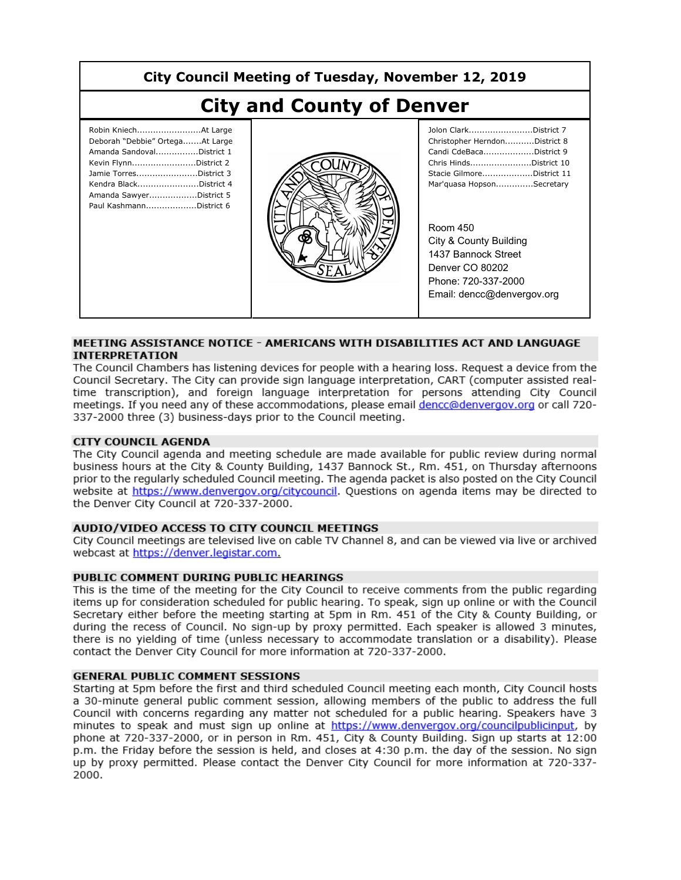| City Council Meeting of Tuesday, November 12, 2019                                                                                                                                              |  |                                                                                                                                                                                                                                                                                                            |
|-------------------------------------------------------------------------------------------------------------------------------------------------------------------------------------------------|--|------------------------------------------------------------------------------------------------------------------------------------------------------------------------------------------------------------------------------------------------------------------------------------------------------------|
| <b>City and County of Denver</b>                                                                                                                                                                |  |                                                                                                                                                                                                                                                                                                            |
| Deborah "Debbie" OrtegaAt Large<br>Amanda SandovalDistrict 1<br>Kevin FlynnDistrict 2<br>Jamie TorresDistrict 3<br>Kendra BlackDistrict 4<br>Amanda SawyerDistrict 5<br>Paul KashmannDistrict 6 |  | Jolon ClarkDistrict 7<br>Christopher HerndonDistrict 8<br>Candi CdeBacaDistrict 9<br>Chris HindsDistrict 10<br>Stacie GilmoreDistrict 11<br>Mar'quasa HopsonSecretary<br>Room 450<br>City & County Building<br>1437 Bannock Street<br>Denver CO 80202<br>Phone: 720-337-2000<br>Email: dencc@denvergov.org |

### MEETING ASSISTANCE NOTICE - AMERICANS WITH DISABILITIES ACT AND LANGUAGE **INTERPRETATION**

The Council Chambers has listening devices for people with a hearing loss. Request a device from the Council Secretary. The City can provide sign language interpretation, CART (computer assisted realtime transcription), and foreign language interpretation for persons attending City Council meetings. If you need any of these accommodations, please email dencc@denvergov.org or call 720-337-2000 three (3) business-days prior to the Council meeting.

### **CITY COUNCIL AGENDA**

The City Council agenda and meeting schedule are made available for public review during normal business hours at the City & County Building, 1437 Bannock St., Rm, 451, on Thursday afternoons prior to the regularly scheduled Council meeting. The agenda packet is also posted on the City Council website at https://www.denvergov.org/citycouncil. Questions on agenda items may be directed to the Denver City Council at 720-337-2000.

### AUDIO/VIDEO ACCESS TO CITY COUNCIL MEETINGS

City Council meetings are televised live on cable TV Channel 8, and can be viewed via live or archived webcast at https://denver.legistar.com.

### PUBLIC COMMENT DURING PUBLIC HEARINGS

This is the time of the meeting for the City Council to receive comments from the public regarding items up for consideration scheduled for public hearing. To speak, sign up online or with the Council Secretary either before the meeting starting at 5pm in Rm. 451 of the City & County Building, or during the recess of Council. No sign-up by proxy permitted. Each speaker is allowed 3 minutes, there is no yielding of time (unless necessary to accommodate translation or a disability). Please contact the Denver City Council for more information at 720-337-2000.

#### **GENERAL PUBLIC COMMENT SESSIONS**

Starting at 5pm before the first and third scheduled Council meeting each month, City Council hosts a 30-minute general public comment session, allowing members of the public to address the full Council with concerns regarding any matter not scheduled for a public hearing. Speakers have 3 minutes to speak and must sign up online at https://www.denvergov.org/councilpublicinput, by phone at 720-337-2000, or in person in Rm. 451, City & County Building. Sign up starts at 12:00 p.m. the Friday before the session is held, and closes at 4:30 p.m. the day of the session. No sign up by proxy permitted. Please contact the Denver City Council for more information at 720-337-2000.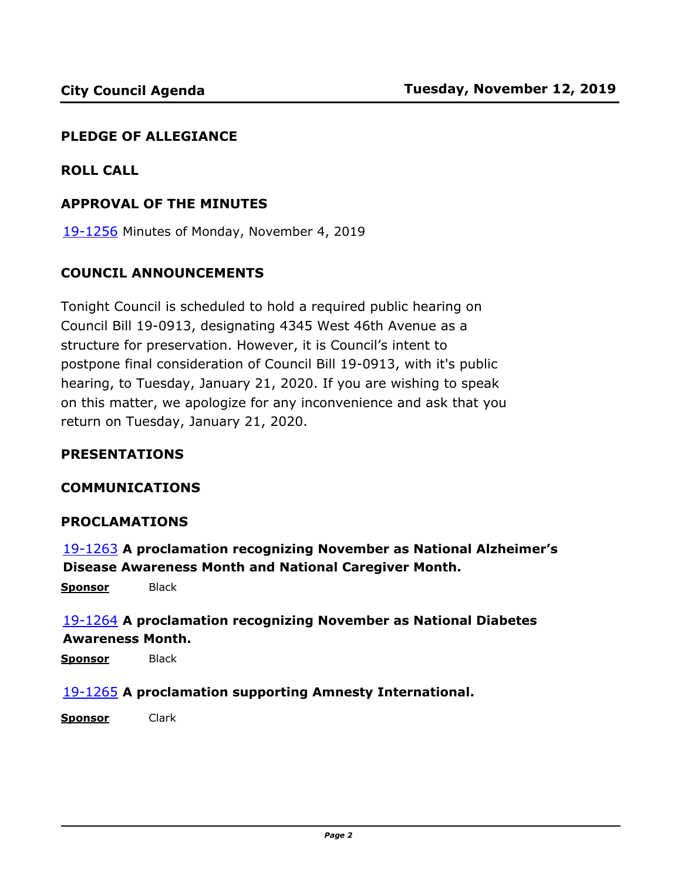### **PLEDGE OF ALLEGIANCE**

### **ROLL CALL**

### **APPROVAL OF THE MINUTES**

19-1256 [Minutes of Monday, November 4, 2019](http://denver.legistar.com/gateway.aspx?m=l&id=/matter.aspx?key=15797)

### **COUNCIL ANNOUNCEMENTS**

Tonight Council is scheduled to hold a required public hearing on Council Bill 19-0913, designating 4345 West 46th Avenue as a structure for preservation. However, it is Council's intent to postpone final consideration of Council Bill 19-0913, with it's public hearing, to Tuesday, January 21, 2020. If you are wishing to speak on this matter, we apologize for any inconvenience and ask that you return on Tuesday, January 21, 2020.

### **PRESENTATIONS**

### **COMMUNICATIONS**

### **PROCLAMATIONS**

19-1263 **[A proclamation recognizing November as National Alzheimer's](http://denver.legistar.com/gateway.aspx?m=l&id=/matter.aspx?key=15804)  Disease Awareness Month and National Caregiver Month.**

**Sponsor** Black

# 19-1264 **[A proclamation recognizing November as National Diabetes](http://denver.legistar.com/gateway.aspx?m=l&id=/matter.aspx?key=15805)  Awareness Month.**

**Sponsor** Black

### 19-1265 **[A proclamation supporting Amnesty International.](http://denver.legistar.com/gateway.aspx?m=l&id=/matter.aspx?key=15806)**

**Sponsor** Clark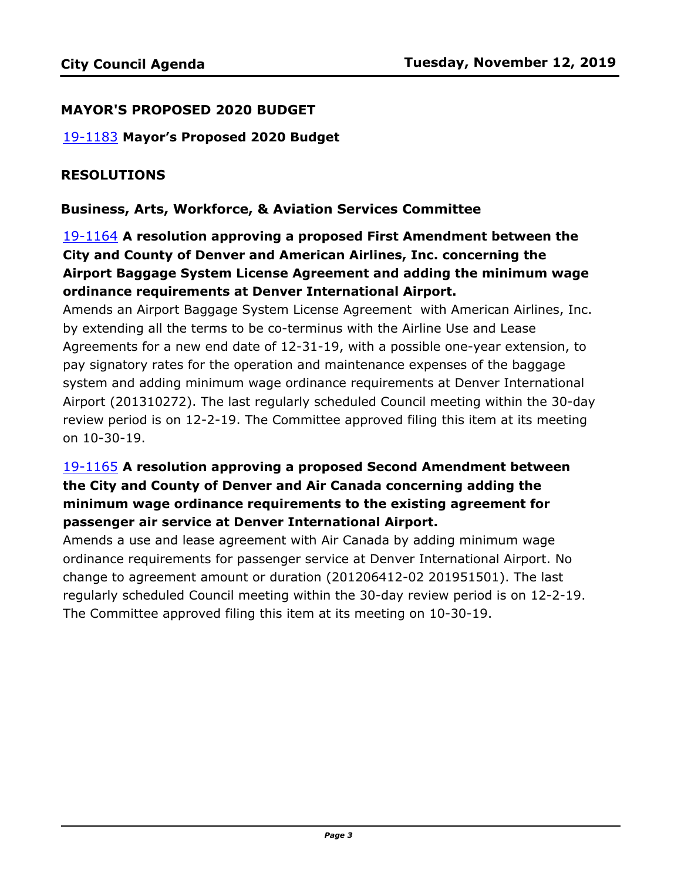### **MAYOR'S PROPOSED 2020 BUDGET**

19-1183 **[Mayor's Proposed 2020 Budget](http://denver.legistar.com/gateway.aspx?m=l&id=/matter.aspx?key=15724)**

### **RESOLUTIONS**

### **Business, Arts, Workforce, & Aviation Services Committee**

# 19-1164 **A resolution approving a proposed First Amendment between the City and County of Denver and American Airlines, Inc. concerning the Airport Baggage System License Agreement and adding the minimum wage ordinance requirements at Denver International Airport.**

Amends an Airport Baggage System License Agreement with American Airlines, Inc. by extending all the terms to be co-terminus with the Airline Use and Lease Agreements for a new end date of 12-31-19, with a possible one-year extension, to pay signatory rates for the operation and maintenance expenses of the baggage system and adding minimum wage ordinance requirements at Denver International [Airport \(201310272\). The last regularly scheduled Council meeting within the 30-day](http://denver.legistar.com/gateway.aspx?m=l&id=/matter.aspx?key=15705)  review period is on 12-2-19. The Committee approved filing this item at its meeting on 10-30-19.

# 19-1165 **A resolution approving a proposed Second Amendment between the City and County of Denver and Air Canada concerning adding the minimum wage ordinance requirements to the existing agreement for passenger air service at Denver International Airport.**

Amends a use and lease agreement with Air Canada by adding minimum wage ordinance requirements for passenger service at Denver International Airport. No change to agreement amount or duration (201206412-02 201951501). The last [regularly scheduled Council meeting within the 30-day review period is on 12-2-19.](http://denver.legistar.com/gateway.aspx?m=l&id=/matter.aspx?key=15706)  The Committee approved filing this item at its meeting on 10-30-19.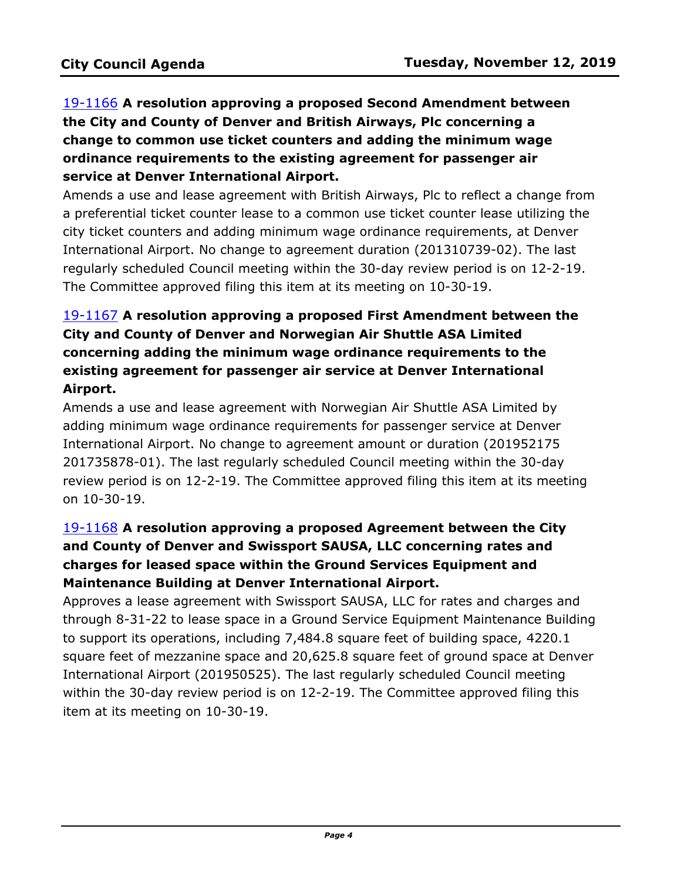# 19-1166 **A resolution approving a proposed Second Amendment between the City and County of Denver and British Airways, Plc concerning a change to common use ticket counters and adding the minimum wage ordinance requirements to the existing agreement for passenger air service at Denver International Airport.**

[Amends a use and lease agreement with British Airways, Plc to reflect a change from](http://denver.legistar.com/gateway.aspx?m=l&id=/matter.aspx?key=15707)  a preferential ticket counter lease to a common use ticket counter lease utilizing the city ticket counters and adding minimum wage ordinance requirements, at Denver International Airport. No change to agreement duration (201310739-02). The last regularly scheduled Council meeting within the 30-day review period is on 12-2-19. The Committee approved filing this item at its meeting on 10-30-19.

# 19-1167 **A resolution approving a proposed First Amendment between the City and County of Denver and Norwegian Air Shuttle ASA Limited concerning adding the minimum wage ordinance requirements to the existing agreement for passenger air service at Denver International Airport.**

Amends a use and lease agreement with Norwegian Air Shuttle ASA Limited by adding minimum wage ordinance requirements for passenger service at Denver International Airport. No change to agreement amount or duration (201952175 201735878-01). The last regularly scheduled Council meeting within the 30-day [review period is on 12-2-19. The Committee approved filing this item at its meeting](http://denver.legistar.com/gateway.aspx?m=l&id=/matter.aspx?key=15708)  on 10-30-19.

# 19-1168 **A resolution approving a proposed Agreement between the City and County of Denver and Swissport SAUSA, LLC concerning rates and charges for leased space within the Ground Services Equipment and Maintenance Building at Denver International Airport.**

Approves a lease agreement with Swissport SAUSA, LLC for rates and charges and [through 8-31-22 to lease space in a Ground Service Equipment Maintenance Building](http://denver.legistar.com/gateway.aspx?m=l&id=/matter.aspx?key=15709)  to support its operations, including 7,484.8 square feet of building space, 4220.1 square feet of mezzanine space and 20,625.8 square feet of ground space at Denver International Airport (201950525). The last regularly scheduled Council meeting within the 30-day review period is on 12-2-19. The Committee approved filing this item at its meeting on 10-30-19.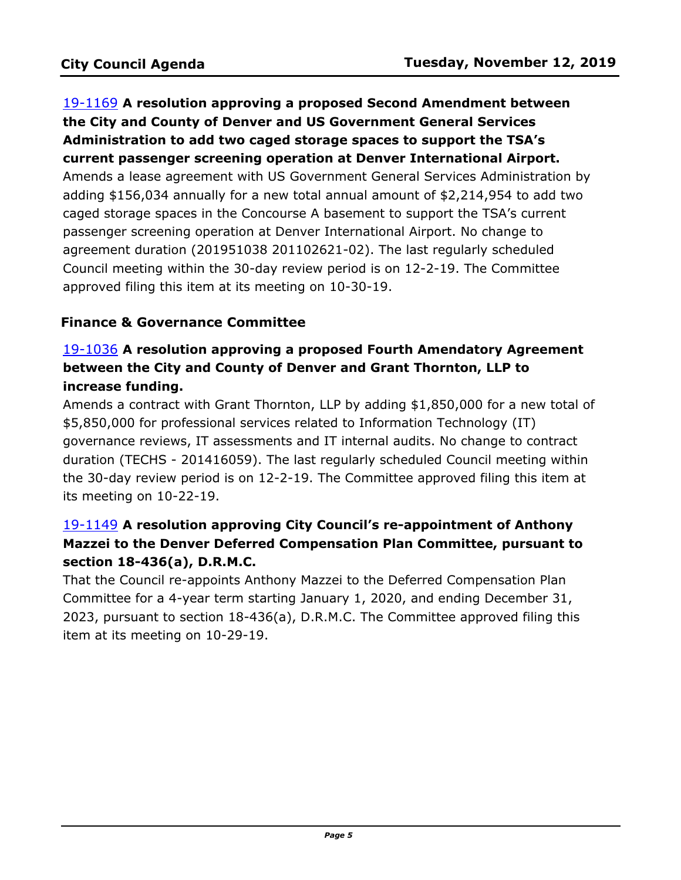19-1169 **A resolution approving a proposed Second Amendment between the City and County of Denver and US Government General Services Administration to add two caged storage spaces to support the TSA's current passenger screening operation at Denver International Airport.** [Amends a lease agreement with US Government General Services Administration by](http://denver.legistar.com/gateway.aspx?m=l&id=/matter.aspx?key=15710)  adding \$156,034 annually for a new total annual amount of \$2,214,954 to add two caged storage spaces in the Concourse A basement to support the TSA's current passenger screening operation at Denver International Airport. No change to agreement duration (201951038 201102621-02). The last regularly scheduled Council meeting within the 30-day review period is on 12-2-19. The Committee approved filing this item at its meeting on 10-30-19.

## **Finance & Governance Committee**

# 19-1036 **A resolution approving a proposed Fourth Amendatory Agreement between the City and County of Denver and Grant Thornton, LLP to increase funding.**

[Amends a contract with Grant Thornton, LLP by adding \\$1,850,000 for a new total of](http://denver.legistar.com/gateway.aspx?m=l&id=/matter.aspx?key=15577)  \$5,850,000 for professional services related to Information Technology (IT) governance reviews, IT assessments and IT internal audits. No change to contract duration (TECHS - 201416059). The last regularly scheduled Council meeting within the 30-day review period is on 12-2-19. The Committee approved filing this item at its meeting on 10-22-19.

# 19-1149 **A resolution approving City Council's re-appointment of Anthony [Mazzei to the Denver Deferred Compensation Plan Committee, pursuant to](http://denver.legistar.com/gateway.aspx?m=l&id=/matter.aspx?key=15690)  section 18-436(a), D.R.M.C.**

That the Council re-appoints Anthony Mazzei to the Deferred Compensation Plan Committee for a 4-year term starting January 1, 2020, and ending December 31, 2023, pursuant to section 18-436(a), D.R.M.C. The Committee approved filing this item at its meeting on 10-29-19.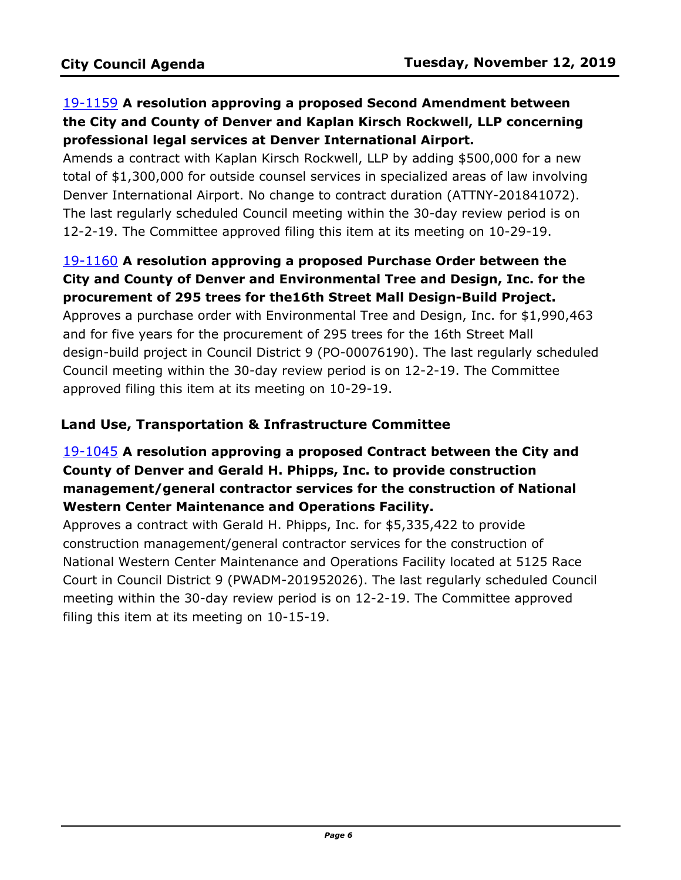# 19-1159 **A resolution approving a proposed Second Amendment between the City and County of Denver and Kaplan Kirsch Rockwell, LLP concerning professional legal services at Denver International Airport.**

Amends a contract with Kaplan Kirsch Rockwell, LLP by adding \$500,000 for a new [total of \\$1,300,000 for outside counsel services in specialized areas of law involving](http://denver.legistar.com/gateway.aspx?m=l&id=/matter.aspx?key=15700)  Denver International Airport. No change to contract duration (ATTNY-201841072). The last regularly scheduled Council meeting within the 30-day review period is on 12-2-19. The Committee approved filing this item at its meeting on 10-29-19.

# 19-1160 **A resolution approving a proposed Purchase Order between the City and County of Denver and Environmental Tree and Design, Inc. for the procurement of 295 trees for the16th Street Mall Design-Build Project.**

Approves a purchase order with Environmental Tree and Design, Inc. for \$1,990,463 and for five years for the procurement of 295 trees for the 16th Street Mall [design-build project in Council District 9 \(PO-00076190\). The last regularly scheduled](http://denver.legistar.com/gateway.aspx?m=l&id=/matter.aspx?key=15701)  Council meeting within the 30-day review period is on 12-2-19. The Committee approved filing this item at its meeting on 10-29-19.

# **Land Use, Transportation & Infrastructure Committee**

# 19-1045 **A resolution approving a proposed Contract between the City and County of Denver and Gerald H. Phipps, Inc. to provide construction management/general contractor services for the construction of National Western Center Maintenance and Operations Facility.**

Approves a contract with Gerald H. Phipps, Inc. for \$5,335,422 to provide construction management/general contractor services for the construction of National Western Center Maintenance and Operations Facility located at 5125 Race [Court in Council District 9 \(PWADM-201952026\). The last regularly scheduled Council](http://denver.legistar.com/gateway.aspx?m=l&id=/matter.aspx?key=15586)  meeting within the 30-day review period is on 12-2-19. The Committee approved filing this item at its meeting on 10-15-19.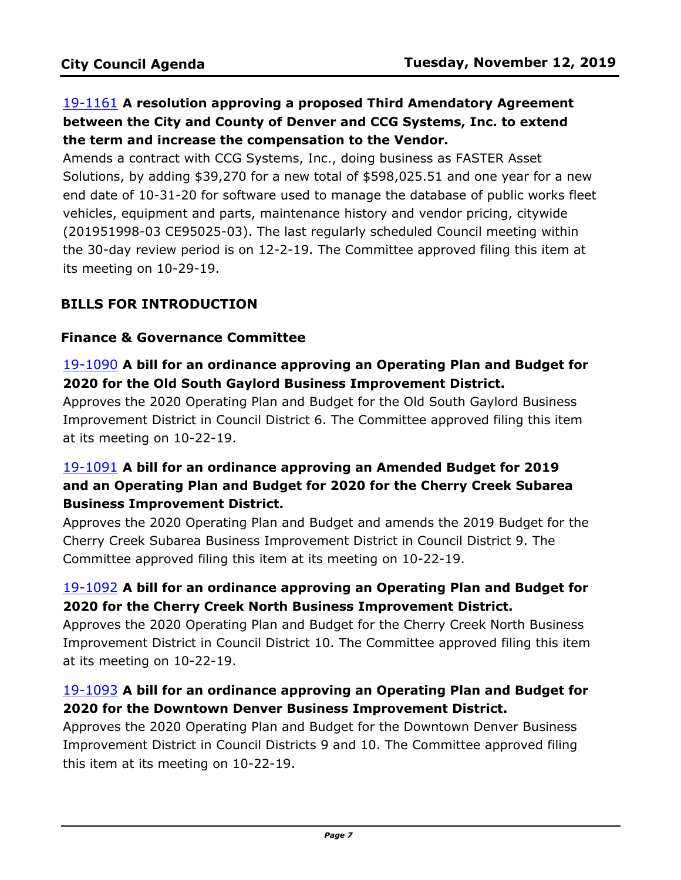# 19-1161 **A resolution approving a proposed Third Amendatory Agreement between the City and County of Denver and CCG Systems, Inc. to extend the term and increase the compensation to the Vendor.**

Amends a contract with CCG Systems, Inc., doing business as FASTER Asset Solutions, by adding \$39,270 for a new total of \$598,025.51 and one year for a new [end date of 10-31-20 for software used to manage the database of public works fleet](http://denver.legistar.com/gateway.aspx?m=l&id=/matter.aspx?key=15702)  vehicles, equipment and parts, maintenance history and vendor pricing, citywide (201951998-03 CE95025-03). The last regularly scheduled Council meeting within the 30-day review period is on 12-2-19. The Committee approved filing this item at its meeting on 10-29-19.

# **BILLS FOR INTRODUCTION**

### **Finance & Governance Committee**

## 19-1090 **A bill for an ordinance approving an Operating Plan and Budget for 2020 for the Old South Gaylord Business Improvement District.**

Approves the 2020 Operating Plan and Budget for the Old South Gaylord Business [Improvement District in Council District 6. The Committee approved filing this item](http://denver.legistar.com/gateway.aspx?m=l&id=/matter.aspx?key=15631)  at its meeting on 10-22-19.

# 19-1091 **A bill for an ordinance approving an Amended Budget for 2019 and an Operating Plan and Budget for 2020 for the Cherry Creek Subarea Business Improvement District.**

[Approves the 2020 Operating Plan and Budget and amends the 2019 Budget for the](http://denver.legistar.com/gateway.aspx?m=l&id=/matter.aspx?key=15632)  Cherry Creek Subarea Business Improvement District in Council District 9. The Committee approved filing this item at its meeting on 10-22-19.

## 19-1092 **A bill for an ordinance approving an Operating Plan and Budget for 2020 for the Cherry Creek North Business Improvement District.**

Approves the 2020 Operating Plan and Budget for the Cherry Creek North Business [Improvement District in Council District 10. The Committee approved filing this item](http://denver.legistar.com/gateway.aspx?m=l&id=/matter.aspx?key=15633)  at its meeting on 10-22-19.

## 19-1093 **A bill for an ordinance approving an Operating Plan and Budget for 2020 for the Downtown Denver Business Improvement District.**

Approves the 2020 Operating Plan and Budget for the Downtown Denver Business [Improvement District in Council Districts 9 and 10. The Committee approved filing](http://denver.legistar.com/gateway.aspx?m=l&id=/matter.aspx?key=15634)  this item at its meeting on 10-22-19.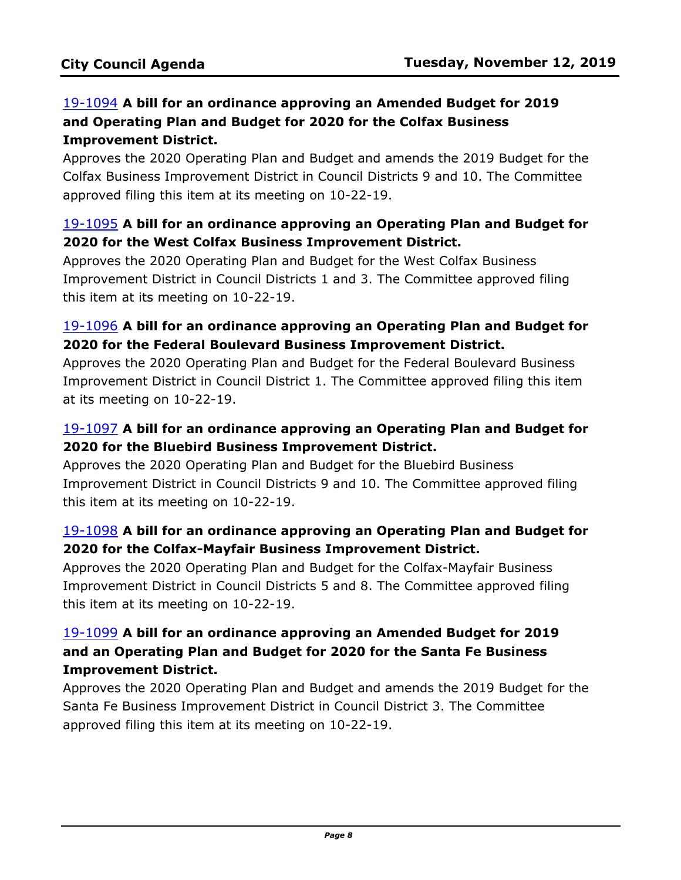# 19-1094 **A bill for an ordinance approving an Amended Budget for 2019 and Operating Plan and Budget for 2020 for the Colfax Business Improvement District.**

[Approves the 2020 Operating Plan and Budget and amends the 2019 Budget for the](http://denver.legistar.com/gateway.aspx?m=l&id=/matter.aspx?key=15635)  Colfax Business Improvement District in Council Districts 9 and 10. The Committee approved filing this item at its meeting on 10-22-19.

## 19-1095 **A bill for an ordinance approving an Operating Plan and Budget for 2020 for the West Colfax Business Improvement District.**

Approves the 2020 Operating Plan and Budget for the West Colfax Business [Improvement District in Council Districts 1 and 3. The Committee approved filing](http://denver.legistar.com/gateway.aspx?m=l&id=/matter.aspx?key=15636)  this item at its meeting on 10-22-19.

## 19-1096 **A bill for an ordinance approving an Operating Plan and Budget for 2020 for the Federal Boulevard Business Improvement District.**

Approves the 2020 Operating Plan and Budget for the Federal Boulevard Business [Improvement District in Council District 1. The Committee approved filing this item](http://denver.legistar.com/gateway.aspx?m=l&id=/matter.aspx?key=15637)  at its meeting on 10-22-19.

# 19-1097 **A bill for an ordinance approving an Operating Plan and Budget for 2020 for the Bluebird Business Improvement District.**

Approves the 2020 Operating Plan and Budget for the Bluebird Business [Improvement District in Council Districts 9 and 10. The Committee approved filing](http://denver.legistar.com/gateway.aspx?m=l&id=/matter.aspx?key=15638)  this item at its meeting on 10-22-19.

## 19-1098 **A bill for an ordinance approving an Operating Plan and Budget for 2020 for the Colfax-Mayfair Business Improvement District.**

Approves the 2020 Operating Plan and Budget for the Colfax-Mayfair Business [Improvement District in Council Districts 5 and 8. The Committee approved filing](http://denver.legistar.com/gateway.aspx?m=l&id=/matter.aspx?key=15639)  this item at its meeting on 10-22-19.

# 19-1099 **A bill for an ordinance approving an Amended Budget for 2019 and an Operating Plan and Budget for 2020 for the Santa Fe Business Improvement District.**

[Approves the 2020 Operating Plan and Budget and amends the 2019 Budget for the](http://denver.legistar.com/gateway.aspx?m=l&id=/matter.aspx?key=15640)  Santa Fe Business Improvement District in Council District 3. The Committee approved filing this item at its meeting on 10-22-19.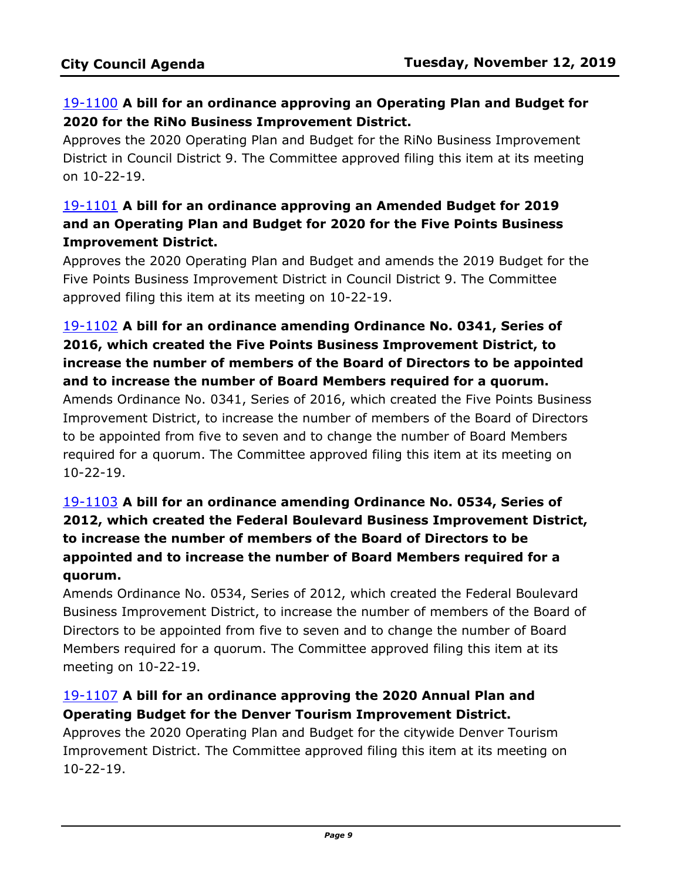# 19-1100 **A bill for an ordinance approving an Operating Plan and Budget for 2020 for the RiNo Business Improvement District.**

Approves the 2020 Operating Plan and Budget for the RiNo Business Improvement [District in Council District 9. The Committee approved filing this item at its meeting](http://denver.legistar.com/gateway.aspx?m=l&id=/matter.aspx?key=15641)  on 10-22-19.

# 19-1101 **A bill for an ordinance approving an Amended Budget for 2019 and an Operating Plan and Budget for 2020 for the Five Points Business Improvement District.**

[Approves the 2020 Operating Plan and Budget and amends the 2019 Budget for the](http://denver.legistar.com/gateway.aspx?m=l&id=/matter.aspx?key=15642)  Five Points Business Improvement District in Council District 9. The Committee approved filing this item at its meeting on 10-22-19.

## 19-1102 **A bill for an ordinance amending Ordinance No. 0341, Series of 2016, which created the Five Points Business Improvement District, to increase the number of members of the Board of Directors to be appointed and to increase the number of Board Members required for a quorum.**

[Amends Ordinance No. 0341, Series of 2016, which created the Five Points Business](http://denver.legistar.com/gateway.aspx?m=l&id=/matter.aspx?key=15643)  Improvement District, to increase the number of members of the Board of Directors to be appointed from five to seven and to change the number of Board Members required for a quorum. The Committee approved filing this item at its meeting on 10-22-19.

# 19-1103 **A bill for an ordinance amending Ordinance No. 0534, Series of [2012, which created the Federal Boulevard Business Improvement District,](http://denver.legistar.com/gateway.aspx?m=l&id=/matter.aspx?key=15644)  to increase the number of members of the Board of Directors to be appointed and to increase the number of Board Members required for a quorum.**

Amends Ordinance No. 0534, Series of 2012, which created the Federal Boulevard Business Improvement District, to increase the number of members of the Board of Directors to be appointed from five to seven and to change the number of Board Members required for a quorum. The Committee approved filing this item at its meeting on 10-22-19.

## 19-1107 **A bill for an ordinance approving the 2020 Annual Plan and Operating Budget for the Denver Tourism Improvement District.**

Approves the 2020 Operating Plan and Budget for the citywide Denver Tourism [Improvement District. The Committee approved filing this item at its meeting on](http://denver.legistar.com/gateway.aspx?m=l&id=/matter.aspx?key=15648)  10-22-19.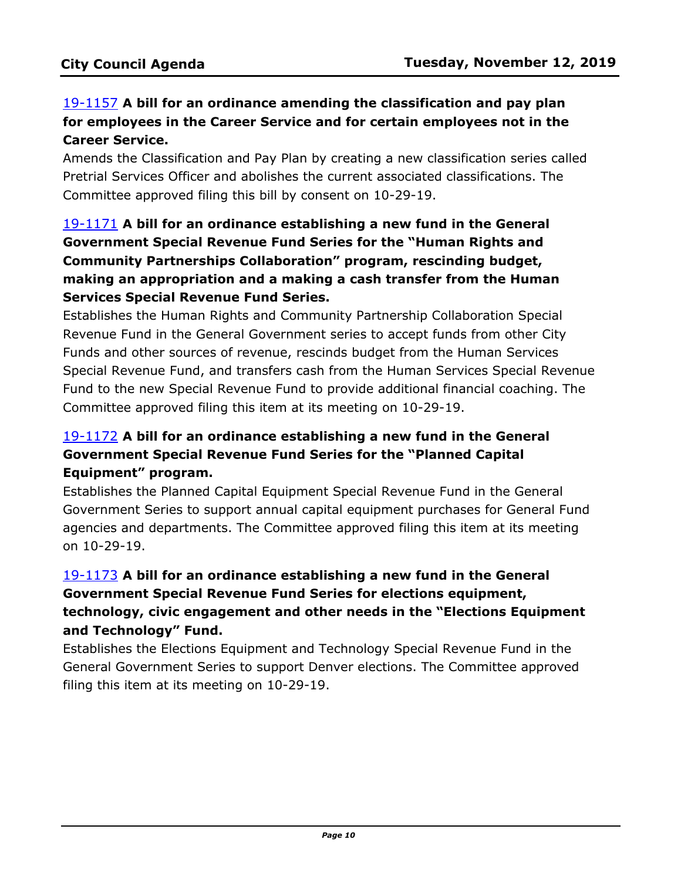# 19-1157 **A bill for an ordinance amending the classification and pay plan for employees in the Career Service and for certain employees not in the Career Service.**

[Amends the Classification and Pay Plan by creating a new classification series called](http://denver.legistar.com/gateway.aspx?m=l&id=/matter.aspx?key=15698)  Pretrial Services Officer and abolishes the current associated classifications. The Committee approved filing this bill by consent on 10-29-19.

# 19-1171 **A bill for an ordinance establishing a new fund in the General Government Special Revenue Fund Series for the "Human Rights and Community Partnerships Collaboration" program, rescinding budget, making an appropriation and a making a cash transfer from the Human Services Special Revenue Fund Series.**

Establishes the Human Rights and Community Partnership Collaboration Special Revenue Fund in the General Government series to accept funds from other City Funds and other sources of revenue, rescinds budget from the Human Services [Special Revenue Fund, and transfers cash from the Human Services Special Revenue](http://denver.legistar.com/gateway.aspx?m=l&id=/matter.aspx?key=15712)  Fund to the new Special Revenue Fund to provide additional financial coaching. The Committee approved filing this item at its meeting on 10-29-19.

# 19-1172 **A bill for an ordinance establishing a new fund in the General Government Special Revenue Fund Series for the "Planned Capital Equipment" program.**

Establishes the Planned Capital Equipment Special Revenue Fund in the General [Government Series to support annual capital equipment purchases for General Fund](http://denver.legistar.com/gateway.aspx?m=l&id=/matter.aspx?key=15713)  agencies and departments. The Committee approved filing this item at its meeting on 10-29-19.

# 19-1173 **A bill for an ordinance establishing a new fund in the General Government Special Revenue Fund Series for elections equipment, [technology, civic engagement and other needs in the "Elections Equipment](http://denver.legistar.com/gateway.aspx?m=l&id=/matter.aspx?key=15714)  and Technology" Fund.**

Establishes the Elections Equipment and Technology Special Revenue Fund in the General Government Series to support Denver elections. The Committee approved filing this item at its meeting on 10-29-19.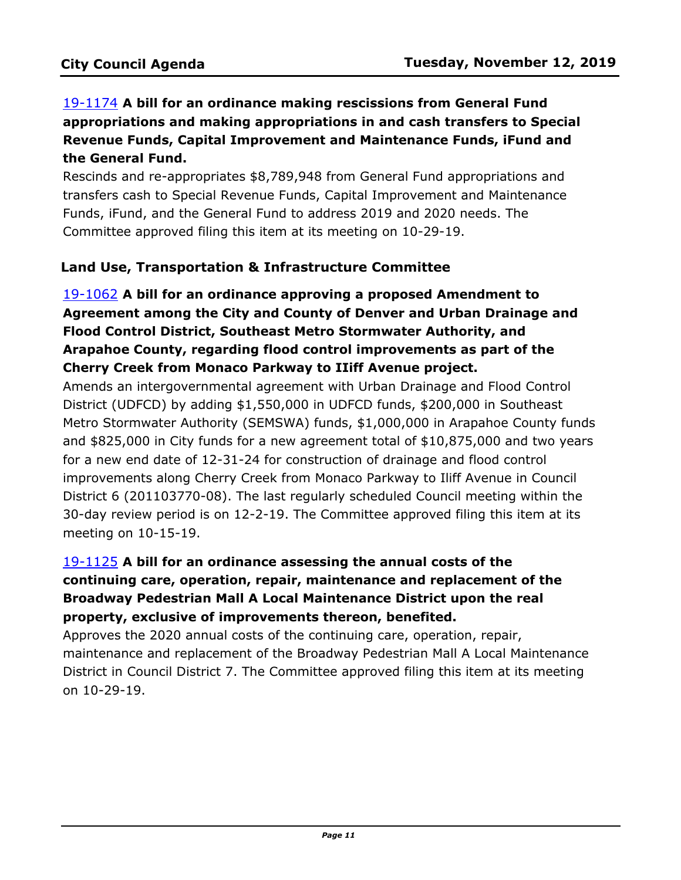# 19-1174 **A bill for an ordinance making rescissions from General Fund [appropriations and making appropriations in and cash transfers to Special](http://denver.legistar.com/gateway.aspx?m=l&id=/matter.aspx?key=15715)  Revenue Funds, Capital Improvement and Maintenance Funds, iFund and the General Fund.**

Rescinds and re-appropriates \$8,789,948 from General Fund appropriations and transfers cash to Special Revenue Funds, Capital Improvement and Maintenance Funds, iFund, and the General Fund to address 2019 and 2020 needs. The Committee approved filing this item at its meeting on 10-29-19.

## **Land Use, Transportation & Infrastructure Committee**

# 19-1062 **A bill for an ordinance approving a proposed Amendment to Agreement among the City and County of Denver and Urban Drainage and Flood Control District, Southeast Metro Stormwater Authority, and Arapahoe County, regarding flood control improvements as part of the Cherry Creek from Monaco Parkway to IIiff Avenue project.**

Amends an intergovernmental agreement with Urban Drainage and Flood Control District (UDFCD) by adding \$1,550,000 in UDFCD funds, \$200,000 in Southeast [Metro Stormwater Authority \(SEMSWA\) funds, \\$1,000,000 in Arapahoe County funds](http://denver.legistar.com/gateway.aspx?m=l&id=/matter.aspx?key=15603)  and \$825,000 in City funds for a new agreement total of \$10,875,000 and two years for a new end date of 12-31-24 for construction of drainage and flood control improvements along Cherry Creek from Monaco Parkway to Iliff Avenue in Council District 6 (201103770-08). The last regularly scheduled Council meeting within the 30-day review period is on 12-2-19. The Committee approved filing this item at its meeting on 10-15-19.

# 19-1125 **A bill for an ordinance assessing the annual costs of the continuing care, operation, repair, maintenance and replacement of the Broadway Pedestrian Mall A Local Maintenance District upon the real property, exclusive of improvements thereon, benefited.**

Approves the 2020 annual costs of the continuing care, operation, repair, [maintenance and replacement of the Broadway Pedestrian Mall A Local Maintenance](http://denver.legistar.com/gateway.aspx?m=l&id=/matter.aspx?key=15666)  District in Council District 7. The Committee approved filing this item at its meeting on 10-29-19.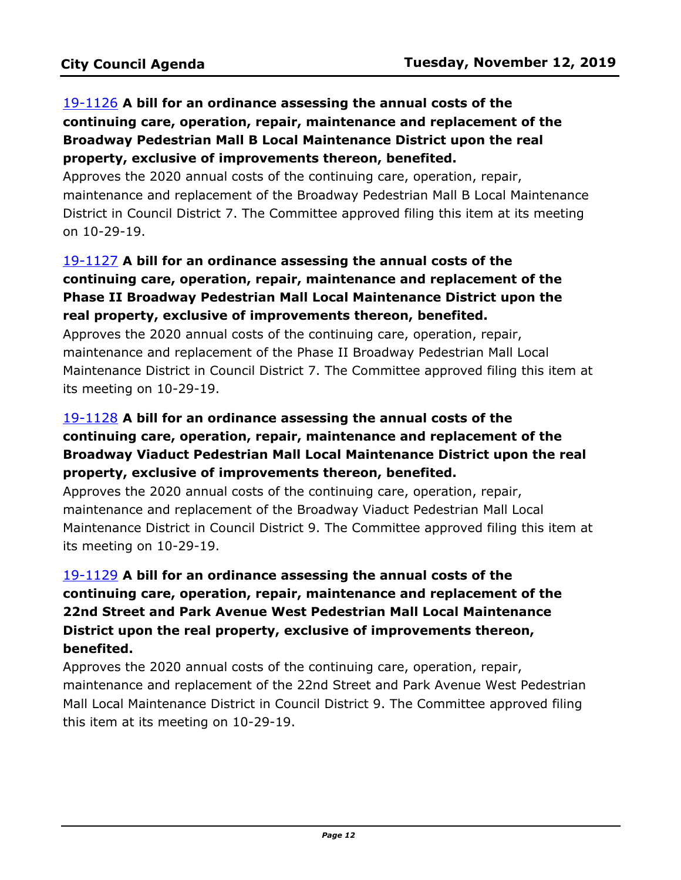# 19-1126 **A bill for an ordinance assessing the annual costs of the continuing care, operation, repair, maintenance and replacement of the Broadway Pedestrian Mall B Local Maintenance District upon the real property, exclusive of improvements thereon, benefited.**

Approves the 2020 annual costs of the continuing care, operation, repair, [maintenance and replacement of the Broadway Pedestrian Mall B Local Maintenance](http://denver.legistar.com/gateway.aspx?m=l&id=/matter.aspx?key=15667)  District in Council District 7. The Committee approved filing this item at its meeting on 10-29-19.

# 19-1127 **A bill for an ordinance assessing the annual costs of the continuing care, operation, repair, maintenance and replacement of the Phase II Broadway Pedestrian Mall Local Maintenance District upon the real property, exclusive of improvements thereon, benefited.**

Approves the 2020 annual costs of the continuing care, operation, repair, maintenance and replacement of the Phase II Broadway Pedestrian Mall Local [Maintenance District in Council District 7. The Committee approved filing this item at](http://denver.legistar.com/gateway.aspx?m=l&id=/matter.aspx?key=15668)  its meeting on 10-29-19.

# 19-1128 **A bill for an ordinance assessing the annual costs of the continuing care, operation, repair, maintenance and replacement of the Broadway Viaduct Pedestrian Mall Local Maintenance District upon the real property, exclusive of improvements thereon, benefited.**

Approves the 2020 annual costs of the continuing care, operation, repair, maintenance and replacement of the Broadway Viaduct Pedestrian Mall Local [Maintenance District in Council District 9. The Committee approved filing this item at](http://denver.legistar.com/gateway.aspx?m=l&id=/matter.aspx?key=15669)  its meeting on 10-29-19.

# 19-1129 **A bill for an ordinance assessing the annual costs of the continuing care, operation, repair, maintenance and replacement of the 22nd Street and Park Avenue West Pedestrian Mall Local Maintenance District upon the real property, exclusive of improvements thereon, benefited.**

Approves the 2020 annual costs of the continuing care, operation, repair, [maintenance and replacement of the 22nd Street and Park Avenue West Pedestrian](http://denver.legistar.com/gateway.aspx?m=l&id=/matter.aspx?key=15670)  Mall Local Maintenance District in Council District 9. The Committee approved filing this item at its meeting on 10-29-19.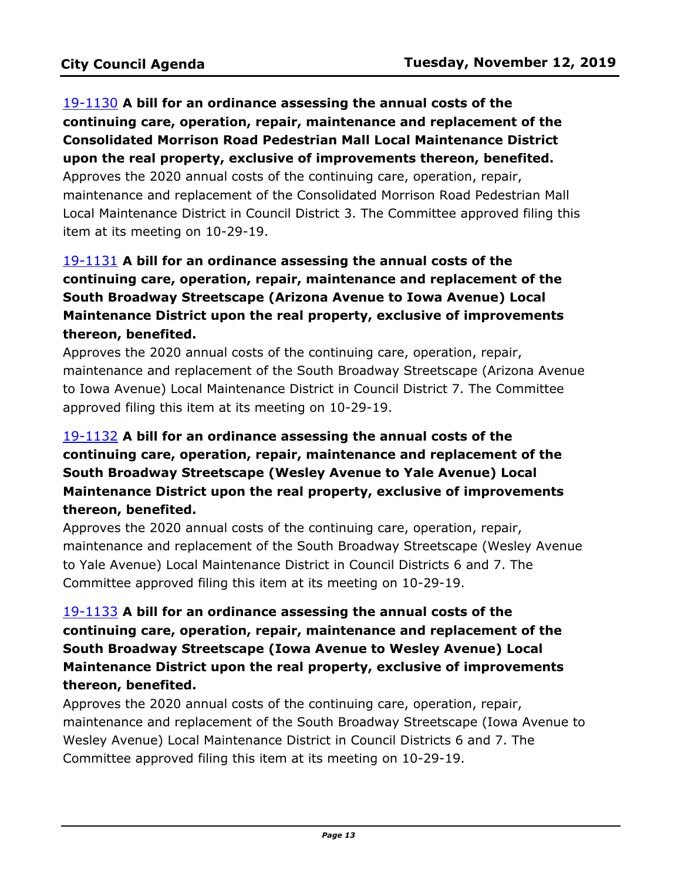# 19-1130 **A bill for an ordinance assessing the annual costs of the continuing care, operation, repair, maintenance and replacement of the Consolidated Morrison Road Pedestrian Mall Local Maintenance District upon the real property, exclusive of improvements thereon, benefited.**

Approves the 2020 annual costs of the continuing care, operation, repair, maintenance and replacement of the Consolidated Morrison Road Pedestrian Mall [Local Maintenance District in Council District 3. The Committee approved filing this](http://denver.legistar.com/gateway.aspx?m=l&id=/matter.aspx?key=15671)  item at its meeting on 10-29-19.

# 19-1131 **A bill for an ordinance assessing the annual costs of the continuing care, operation, repair, maintenance and replacement of the South Broadway Streetscape (Arizona Avenue to Iowa Avenue) Local Maintenance District upon the real property, exclusive of improvements thereon, benefited.**

Approves the 2020 annual costs of the continuing care, operation, repair, [maintenance and replacement of the South Broadway Streetscape \(Arizona Avenue](http://denver.legistar.com/gateway.aspx?m=l&id=/matter.aspx?key=15672)  to Iowa Avenue) Local Maintenance District in Council District 7. The Committee approved filing this item at its meeting on 10-29-19.

# 19-1132 **A bill for an ordinance assessing the annual costs of the continuing care, operation, repair, maintenance and replacement of the South Broadway Streetscape (Wesley Avenue to Yale Avenue) Local Maintenance District upon the real property, exclusive of improvements thereon, benefited.**

Approves the 2020 annual costs of the continuing care, operation, repair, [maintenance and replacement of the South Broadway Streetscape \(Wesley Avenue](http://denver.legistar.com/gateway.aspx?m=l&id=/matter.aspx?key=15673)  to Yale Avenue) Local Maintenance District in Council Districts 6 and 7. The Committee approved filing this item at its meeting on 10-29-19.

# 19-1133 **A bill for an ordinance assessing the annual costs of the continuing care, operation, repair, maintenance and replacement of the South Broadway Streetscape (Iowa Avenue to Wesley Avenue) Local Maintenance District upon the real property, exclusive of improvements thereon, benefited.**

Approves the 2020 annual costs of the continuing care, operation, repair, [maintenance and replacement of the South Broadway Streetscape \(Iowa Avenue to](http://denver.legistar.com/gateway.aspx?m=l&id=/matter.aspx?key=15674)  Wesley Avenue) Local Maintenance District in Council Districts 6 and 7. The Committee approved filing this item at its meeting on 10-29-19.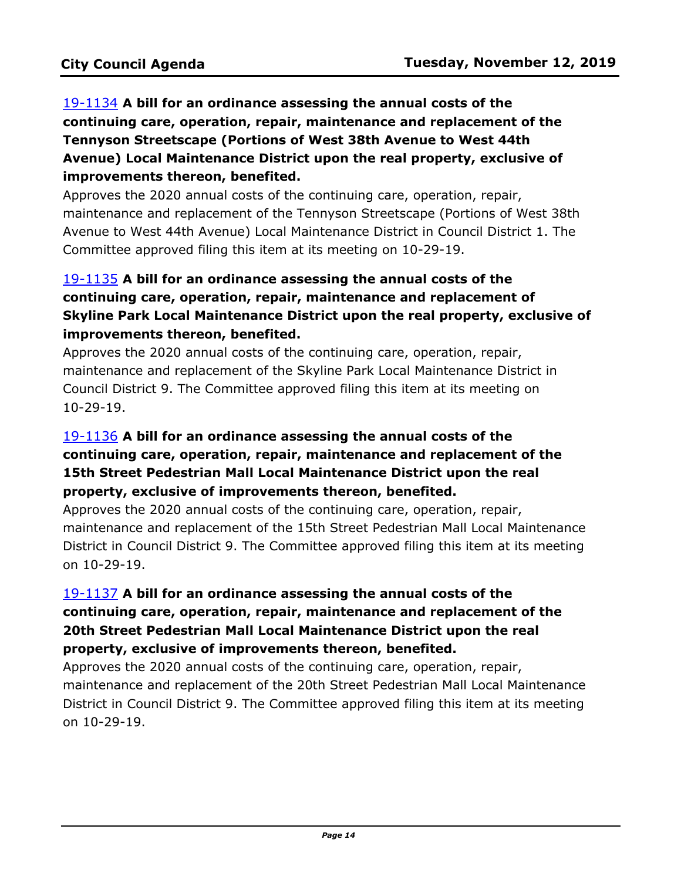# 19-1134 **A bill for an ordinance assessing the annual costs of the continuing care, operation, repair, maintenance and replacement of the Tennyson Streetscape (Portions of West 38th Avenue to West 44th Avenue) Local Maintenance District upon the real property, exclusive of improvements thereon, benefited.**

Approves the 2020 annual costs of the continuing care, operation, repair, [maintenance and replacement of the Tennyson Streetscape \(Portions of West 38th](http://denver.legistar.com/gateway.aspx?m=l&id=/matter.aspx?key=15675)  Avenue to West 44th Avenue) Local Maintenance District in Council District 1. The Committee approved filing this item at its meeting on 10-29-19.

# 19-1135 **A bill for an ordinance assessing the annual costs of the continuing care, operation, repair, maintenance and replacement of [Skyline Park Local Maintenance District upon the real property, exclusive of](http://denver.legistar.com/gateway.aspx?m=l&id=/matter.aspx?key=15676)  improvements thereon, benefited.**

Approves the 2020 annual costs of the continuing care, operation, repair, maintenance and replacement of the Skyline Park Local Maintenance District in Council District 9. The Committee approved filing this item at its meeting on 10-29-19.

# 19-1136 **A bill for an ordinance assessing the annual costs of the continuing care, operation, repair, maintenance and replacement of the 15th Street Pedestrian Mall Local Maintenance District upon the real property, exclusive of improvements thereon, benefited.**

Approves the 2020 annual costs of the continuing care, operation, repair, [maintenance and replacement of the 15th Street Pedestrian Mall Local Maintenance](http://denver.legistar.com/gateway.aspx?m=l&id=/matter.aspx?key=15677)  District in Council District 9. The Committee approved filing this item at its meeting on 10-29-19.

# 19-1137 **A bill for an ordinance assessing the annual costs of the continuing care, operation, repair, maintenance and replacement of the 20th Street Pedestrian Mall Local Maintenance District upon the real property, exclusive of improvements thereon, benefited.**

Approves the 2020 annual costs of the continuing care, operation, repair, [maintenance and replacement of the 20th Street Pedestrian Mall Local Maintenance](http://denver.legistar.com/gateway.aspx?m=l&id=/matter.aspx?key=15678)  District in Council District 9. The Committee approved filing this item at its meeting on 10-29-19.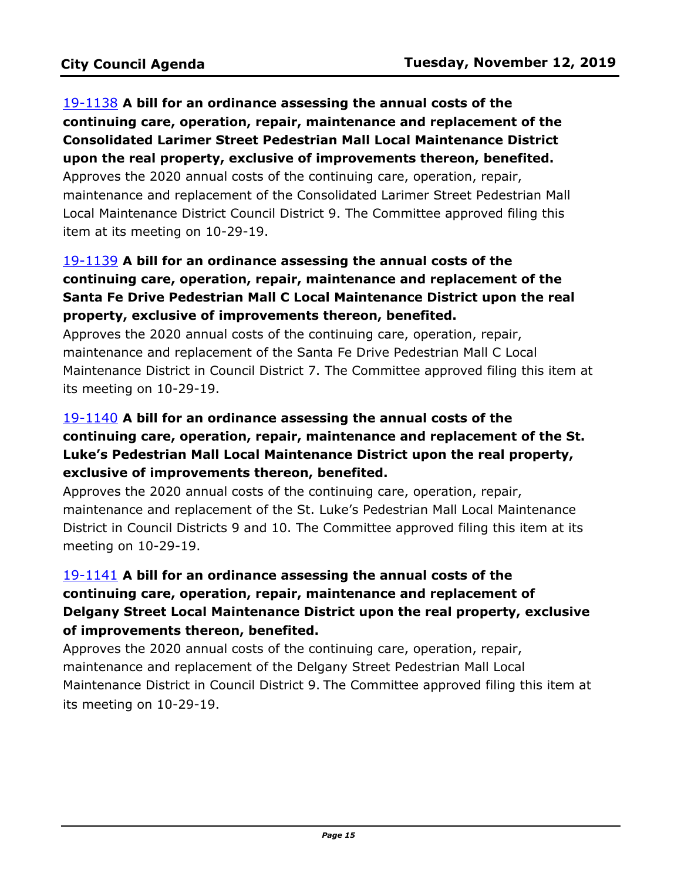19-1138 **A bill for an ordinance assessing the annual costs of the continuing care, operation, repair, maintenance and replacement of the Consolidated Larimer Street Pedestrian Mall Local Maintenance District upon the real property, exclusive of improvements thereon, benefited.** Approves the 2020 annual costs of the continuing care, operation, repair,

[maintenance and replacement of the Consolidated Larimer Street Pedestrian Mall](http://denver.legistar.com/gateway.aspx?m=l&id=/matter.aspx?key=15679)  Local Maintenance District Council District 9. The Committee approved filing this item at its meeting on 10-29-19.

# 19-1139 **A bill for an ordinance assessing the annual costs of the continuing care, operation, repair, maintenance and replacement of the Santa Fe Drive Pedestrian Mall C Local Maintenance District upon the real property, exclusive of improvements thereon, benefited.**

Approves the 2020 annual costs of the continuing care, operation, repair, maintenance and replacement of the Santa Fe Drive Pedestrian Mall C Local [Maintenance District in Council District 7. The Committee approved filing this item at](http://denver.legistar.com/gateway.aspx?m=l&id=/matter.aspx?key=15680)  its meeting on 10-29-19.

# 19-1140 **A bill for an ordinance assessing the annual costs of the [continuing care, operation, repair, maintenance and replacement of the St.](http://denver.legistar.com/gateway.aspx?m=l&id=/matter.aspx?key=15681)  Luke's Pedestrian Mall Local Maintenance District upon the real property, exclusive of improvements thereon, benefited.**

Approves the 2020 annual costs of the continuing care, operation, repair, maintenance and replacement of the St. Luke's Pedestrian Mall Local Maintenance District in Council Districts 9 and 10. The Committee approved filing this item at its meeting on 10-29-19.

# 19-1141 **A bill for an ordinance assessing the annual costs of the continuing care, operation, repair, maintenance and replacement of [Delgany Street Local Maintenance District upon the real property, exclusive](http://denver.legistar.com/gateway.aspx?m=l&id=/matter.aspx?key=15682)  of improvements thereon, benefited.**

Approves the 2020 annual costs of the continuing care, operation, repair, maintenance and replacement of the Delgany Street Pedestrian Mall Local Maintenance District in Council District 9. The Committee approved filing this item at its meeting on 10-29-19.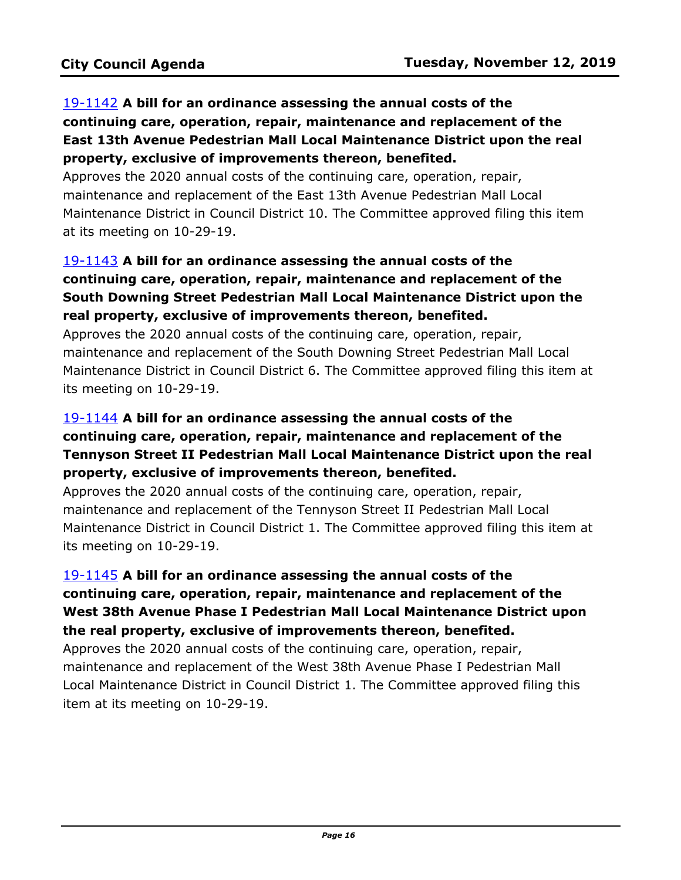# 19-1142 **A bill for an ordinance assessing the annual costs of the continuing care, operation, repair, maintenance and replacement of the East 13th Avenue Pedestrian Mall Local Maintenance District upon the real property, exclusive of improvements thereon, benefited.**

Approves the 2020 annual costs of the continuing care, operation, repair, maintenance and replacement of the East 13th Avenue Pedestrian Mall Local [Maintenance District in Council District 10. The Committee approved filing this item](http://denver.legistar.com/gateway.aspx?m=l&id=/matter.aspx?key=15683)  at its meeting on 10-29-19.

# 19-1143 **A bill for an ordinance assessing the annual costs of the continuing care, operation, repair, maintenance and replacement of the South Downing Street Pedestrian Mall Local Maintenance District upon the real property, exclusive of improvements thereon, benefited.**

Approves the 2020 annual costs of the continuing care, operation, repair, maintenance and replacement of the South Downing Street Pedestrian Mall Local [Maintenance District in Council District 6. The Committee approved filing this item at](http://denver.legistar.com/gateway.aspx?m=l&id=/matter.aspx?key=15684)  its meeting on 10-29-19.

# 19-1144 **A bill for an ordinance assessing the annual costs of the continuing care, operation, repair, maintenance and replacement of the Tennyson Street II Pedestrian Mall Local Maintenance District upon the real property, exclusive of improvements thereon, benefited.**

Approves the 2020 annual costs of the continuing care, operation, repair, maintenance and replacement of the Tennyson Street II Pedestrian Mall Local [Maintenance District in Council District 1. The Committee approved filing this item at](http://denver.legistar.com/gateway.aspx?m=l&id=/matter.aspx?key=15685)  its meeting on 10-29-19.

# 19-1145 **A bill for an ordinance assessing the annual costs of the continuing care, operation, repair, maintenance and replacement of the [West 38th Avenue Phase I Pedestrian Mall Local Maintenance District upon](http://denver.legistar.com/gateway.aspx?m=l&id=/matter.aspx?key=15686)  the real property, exclusive of improvements thereon, benefited.**

Approves the 2020 annual costs of the continuing care, operation, repair, maintenance and replacement of the West 38th Avenue Phase I Pedestrian Mall Local Maintenance District in Council District 1. The Committee approved filing this item at its meeting on 10-29-19.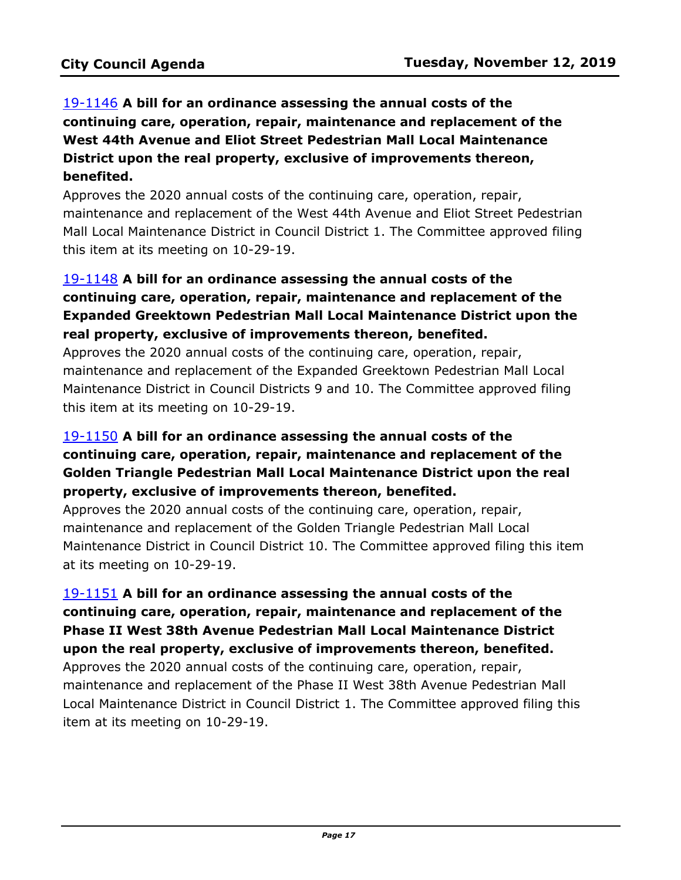19-1146 **A bill for an ordinance assessing the annual costs of the continuing care, operation, repair, maintenance and replacement of the West 44th Avenue and Eliot Street Pedestrian Mall Local Maintenance District upon the real property, exclusive of improvements thereon, benefited.**

Approves the 2020 annual costs of the continuing care, operation, repair, [maintenance and replacement of the West 44th Avenue and Eliot Street Pedestrian](http://denver.legistar.com/gateway.aspx?m=l&id=/matter.aspx?key=15687)  Mall Local Maintenance District in Council District 1. The Committee approved filing this item at its meeting on 10-29-19.

# 19-1148 **A bill for an ordinance assessing the annual costs of the continuing care, operation, repair, maintenance and replacement of the [Expanded Greektown Pedestrian Mall Local Maintenance District upon the](http://denver.legistar.com/gateway.aspx?m=l&id=/matter.aspx?key=15689)  real property, exclusive of improvements thereon, benefited.**

Approves the 2020 annual costs of the continuing care, operation, repair, maintenance and replacement of the Expanded Greektown Pedestrian Mall Local Maintenance District in Council Districts 9 and 10. The Committee approved filing this item at its meeting on 10-29-19.

# 19-1150 **A bill for an ordinance assessing the annual costs of the continuing care, operation, repair, maintenance and replacement of the Golden Triangle Pedestrian Mall Local Maintenance District upon the real property, exclusive of improvements thereon, benefited.**

Approves the 2020 annual costs of the continuing care, operation, repair, maintenance and replacement of the Golden Triangle Pedestrian Mall Local [Maintenance District in Council District 10. The Committee approved filing this item](http://denver.legistar.com/gateway.aspx?m=l&id=/matter.aspx?key=15691)  at its meeting on 10-29-19.

# 19-1151 **A bill for an ordinance assessing the annual costs of the continuing care, operation, repair, maintenance and replacement of the Phase II West 38th Avenue Pedestrian Mall Local Maintenance District upon the real property, exclusive of improvements thereon, benefited.**

Approves the 2020 annual costs of the continuing care, operation, repair, maintenance and replacement of the Phase II West 38th Avenue Pedestrian Mall [Local Maintenance District in Council District 1. The Committee approved filing this](http://denver.legistar.com/gateway.aspx?m=l&id=/matter.aspx?key=15692)  item at its meeting on 10-29-19.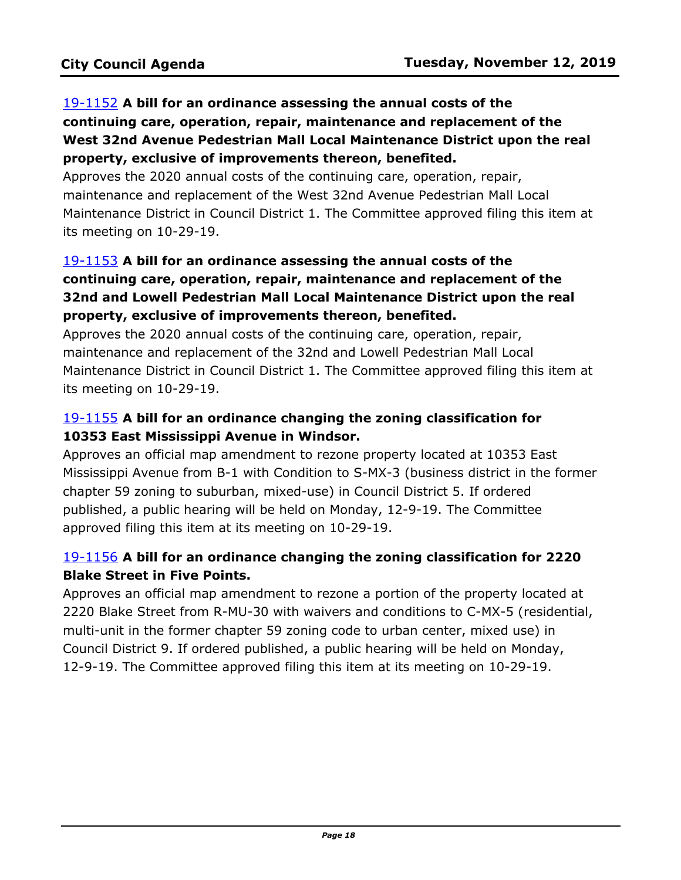# 19-1152 **A bill for an ordinance assessing the annual costs of the continuing care, operation, repair, maintenance and replacement of the West 32nd Avenue Pedestrian Mall Local Maintenance District upon the real property, exclusive of improvements thereon, benefited.**

Approves the 2020 annual costs of the continuing care, operation, repair, maintenance and replacement of the West 32nd Avenue Pedestrian Mall Local [Maintenance District in Council District 1. The Committee approved filing this item at](http://denver.legistar.com/gateway.aspx?m=l&id=/matter.aspx?key=15693)  its meeting on 10-29-19.

# 19-1153 **A bill for an ordinance assessing the annual costs of the continuing care, operation, repair, maintenance and replacement of the 32nd and Lowell Pedestrian Mall Local Maintenance District upon the real property, exclusive of improvements thereon, benefited.**

Approves the 2020 annual costs of the continuing care, operation, repair, maintenance and replacement of the 32nd and Lowell Pedestrian Mall Local [Maintenance District in Council District 1. The Committee approved filing this item at](http://denver.legistar.com/gateway.aspx?m=l&id=/matter.aspx?key=15694)  its meeting on 10-29-19.

# 19-1155 **A bill for an ordinance changing the zoning classification for 10353 East Mississippi Avenue in Windsor.**

Approves an official map amendment to rezone property located at 10353 East [Mississippi Avenue from B-1 with Condition to S-MX-3 \(business district in the former](http://denver.legistar.com/gateway.aspx?m=l&id=/matter.aspx?key=15696)  chapter 59 zoning to suburban, mixed-use) in Council District 5. If ordered published, a public hearing will be held on Monday, 12-9-19. The Committee approved filing this item at its meeting on 10-29-19.

# 19-1156 **A bill for an ordinance changing the zoning classification for 2220 Blake Street in Five Points.**

Approves an official map amendment to rezone a portion of the property located at [2220 Blake Street from R-MU-30 with waivers and conditions to C-MX-5 \(residential,](http://denver.legistar.com/gateway.aspx?m=l&id=/matter.aspx?key=15697)  multi-unit in the former chapter 59 zoning code to urban center, mixed use) in Council District 9. If ordered published, a public hearing will be held on Monday, 12-9-19. The Committee approved filing this item at its meeting on 10-29-19.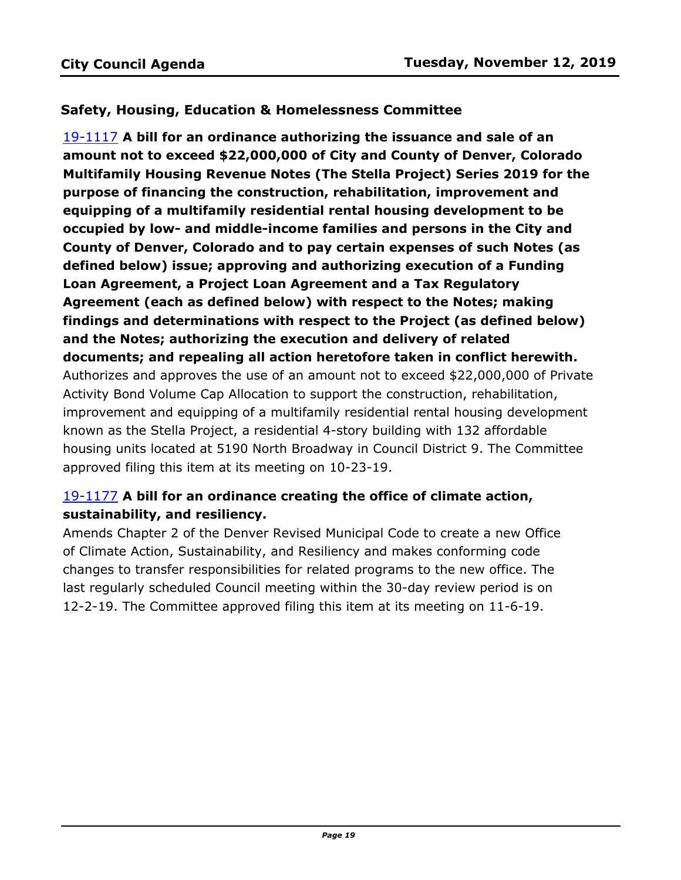### **Safety, Housing, Education & Homelessness Committee**

19-1117 **A bill for an ordinance authorizing the issuance and sale of an amount not to exceed \$22,000,000 of City and County of Denver, Colorado Multifamily Housing Revenue Notes (The Stella Project) Series 2019 for the purpose of financing the construction, rehabilitation, improvement and equipping of a multifamily residential rental housing development to be occupied by low- and middle-income families and persons in the City and County of Denver, Colorado and to pay certain expenses of such Notes (as defined below) issue; approving and authorizing execution of a Funding Loan Agreement, a Project Loan Agreement and a Tax Regulatory Agreement (each as defined below) with respect to the Notes; making findings and determinations with respect to the Project (as defined below) and the Notes; authorizing the execution and delivery of related documents; and repealing all action heretofore taken in conflict herewith.** [Authorizes and approves the use of an amount not to exceed \\$22,000,000 of Private](http://denver.legistar.com/gateway.aspx?m=l&id=/matter.aspx?key=15658)  Activity Bond Volume Cap Allocation to support the construction, rehabilitation, improvement and equipping of a multifamily residential rental housing development known as the Stella Project, a residential 4-story building with 132 affordable housing units located at 5190 North Broadway in Council District 9. The Committee approved filing this item at its meeting on 10-23-19.

# 19-1177 **A bill for an ordinance creating the office of climate action, sustainability, and resiliency.**

[Amends Chapter 2 of the Denver Revised Municipal Code to create a new Office](http://denver.legistar.com/gateway.aspx?m=l&id=/matter.aspx?key=15718)  of Climate Action, Sustainability, and Resiliency and makes conforming code changes to transfer responsibilities for related programs to the new office. The last regularly scheduled Council meeting within the 30-day review period is on 12-2-19. The Committee approved filing this item at its meeting on 11-6-19.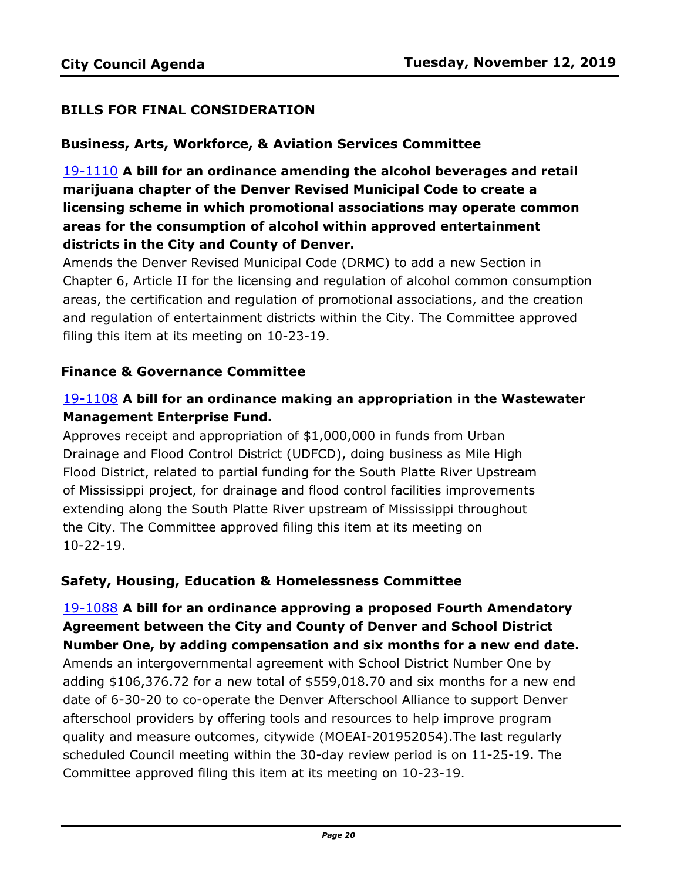### **BILLS FOR FINAL CONSIDERATION**

### **Business, Arts, Workforce, & Aviation Services Committee**

19-1110 **A bill for an ordinance amending the alcohol beverages and retail marijuana chapter of the Denver Revised Municipal Code to create a licensing scheme in which promotional associations may operate common areas for the consumption of alcohol within approved entertainment districts in the City and County of Denver.**

Amends the Denver Revised Municipal Code (DRMC) to add a new Section in [Chapter 6, Article II for the licensing and regulation of alcohol common consumption](http://denver.legistar.com/gateway.aspx?m=l&id=/matter.aspx?key=15651)  areas, the certification and regulation of promotional associations, and the creation and regulation of entertainment districts within the City. The Committee approved filing this item at its meeting on 10-23-19.

### **Finance & Governance Committee**

## 19-1108 **A bill for an ordinance making an appropriation in the Wastewater Management Enterprise Fund.**

Approves receipt and appropriation of \$1,000,000 in funds from Urban Drainage and Flood Control District (UDFCD), doing business as Mile High [Flood District, related to partial funding for the South Platte River Upstream](http://denver.legistar.com/gateway.aspx?m=l&id=/matter.aspx?key=15649)  of Mississippi project, for drainage and flood control facilities improvements extending along the South Platte River upstream of Mississippi throughout the City. The Committee approved filing this item at its meeting on 10-22-19.

### **Safety, Housing, Education & Homelessness Committee**

# 19-1088 **A bill for an ordinance approving a proposed Fourth Amendatory Agreement between the City and County of Denver and School District Number One, by adding compensation and six months for a new end date.**

Amends an intergovernmental agreement with School District Number One by [adding \\$106,376.72 for a new total of \\$559,018.70 and six months for a new end](http://denver.legistar.com/gateway.aspx?m=l&id=/matter.aspx?key=15629)  date of 6-30-20 to co-operate the Denver Afterschool Alliance to support Denver afterschool providers by offering tools and resources to help improve program quality and measure outcomes, citywide (MOEAI-201952054).The last regularly scheduled Council meeting within the 30-day review period is on 11-25-19. The Committee approved filing this item at its meeting on 10-23-19.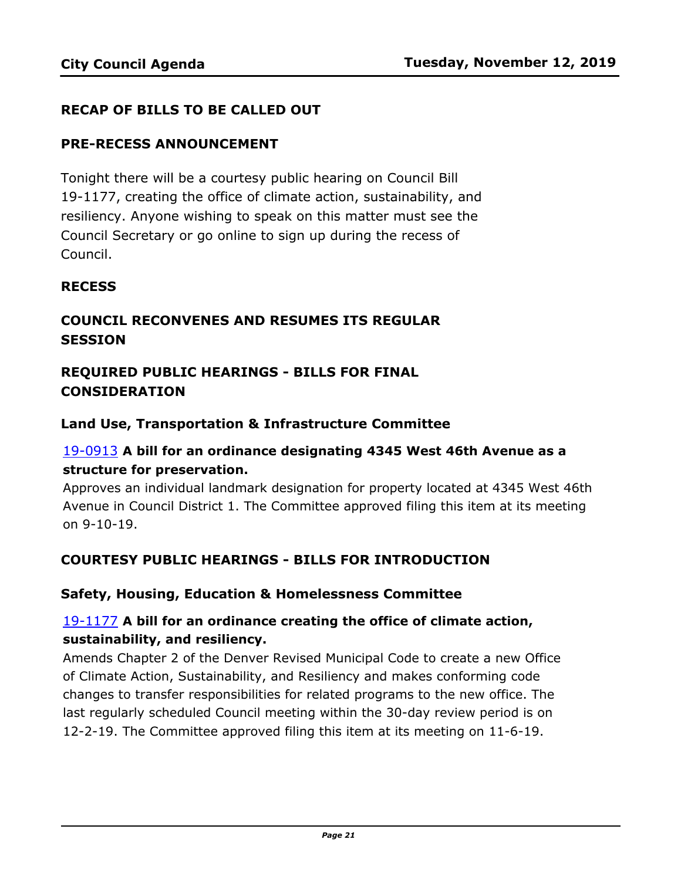### **RECAP OF BILLS TO BE CALLED OUT**

### **PRE-RECESS ANNOUNCEMENT**

Tonight there will be a courtesy public hearing on Council Bill 19-1177, creating the office of climate action, sustainability, and resiliency. Anyone wishing to speak on this matter must see the Council Secretary or go online to sign up during the recess of Council.

### **RECESS**

# **COUNCIL RECONVENES AND RESUMES ITS REGULAR SESSION**

# **REQUIRED PUBLIC HEARINGS - BILLS FOR FINAL CONSIDERATION**

### **Land Use, Transportation & Infrastructure Committee**

## 19-0913 **A bill for an ordinance designating 4345 West 46th Avenue as a structure for preservation.**

[Approves an individual landmark designation for property located at 4345 West 46th](http://denver.legistar.com/gateway.aspx?m=l&id=/matter.aspx?key=15454)  Avenue in Council District 1. The Committee approved filing this item at its meeting on 9-10-19.

### **COURTESY PUBLIC HEARINGS - BILLS FOR INTRODUCTION**

### **Safety, Housing, Education & Homelessness Committee**

## 19-1177 **A bill for an ordinance creating the office of climate action, sustainability, and resiliency.**

[Amends Chapter 2 of the Denver Revised Municipal Code to create a new Office](http://denver.legistar.com/gateway.aspx?m=l&id=/matter.aspx?key=15718)  of Climate Action, Sustainability, and Resiliency and makes conforming code changes to transfer responsibilities for related programs to the new office. The last regularly scheduled Council meeting within the 30-day review period is on 12-2-19. The Committee approved filing this item at its meeting on 11-6-19.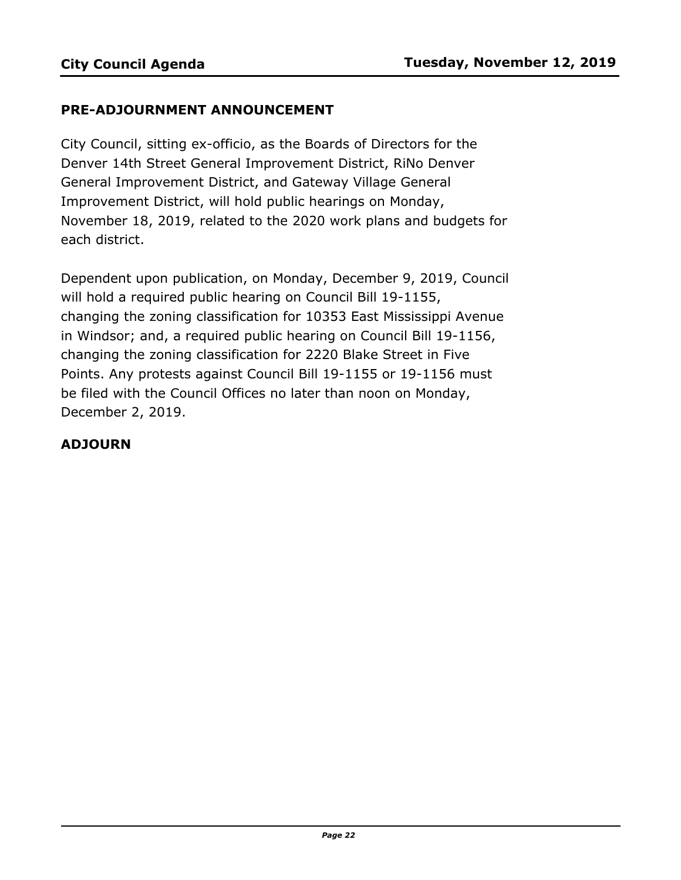### **PRE-ADJOURNMENT ANNOUNCEMENT**

City Council, sitting ex-officio, as the Boards of Directors for the Denver 14th Street General Improvement District, RiNo Denver General Improvement District, and Gateway Village General Improvement District, will hold public hearings on Monday, November 18, 2019, related to the 2020 work plans and budgets for each district.

Dependent upon publication, on Monday, December 9, 2019, Council will hold a required public hearing on Council Bill 19-1155, changing the zoning classification for 10353 East Mississippi Avenue in Windsor; and, a required public hearing on Council Bill 19-1156, changing the zoning classification for 2220 Blake Street in Five Points. Any protests against Council Bill 19-1155 or 19-1156 must be filed with the Council Offices no later than noon on Monday, December 2, 2019.

### **ADJOURN**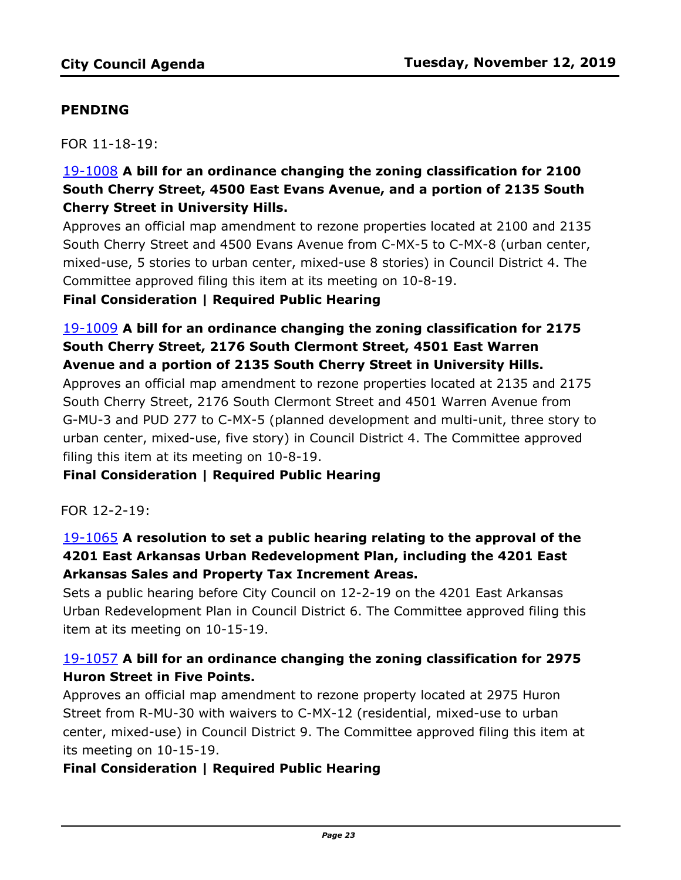## **PENDING**

FOR 11-18-19:

# 19-1008 **A bill for an ordinance changing the zoning classification for 2100 South Cherry Street, 4500 East Evans Avenue, and a portion of 2135 South Cherry Street in University Hills.**

[Approves an official map amendment to rezone properties located at 2100 and 2135](http://denver.legistar.com/gateway.aspx?m=l&id=/matter.aspx?key=15549)  South Cherry Street and 4500 Evans Avenue from C-MX-5 to C-MX-8 (urban center, mixed-use, 5 stories to urban center, mixed-use 8 stories) in Council District 4. The Committee approved filing this item at its meeting on 10-8-19. **Final Consideration | Required Public Hearing** 

# 19-1009 **A bill for an ordinance changing the zoning classification for 2175 South Cherry Street, 2176 South Clermont Street, 4501 East Warren Avenue and a portion of 2135 South Cherry Street in University Hills.**

Approves an official map amendment to rezone properties located at 2135 and 2175 South Cherry Street, 2176 South Clermont Street and 4501 Warren Avenue from [G-MU-3 and PUD 277 to C-MX-5 \(planned development and multi-unit, three story to](http://denver.legistar.com/gateway.aspx?m=l&id=/matter.aspx?key=15550)  urban center, mixed-use, five story) in Council District 4. The Committee approved filing this item at its meeting on 10-8-19.

### **Final Consideration | Required Public Hearing**

FOR 12-2-19:

# 19-1065 **A resolution to set a public hearing relating to the approval of the 4201 East Arkansas Urban Redevelopment Plan, including the 4201 East Arkansas Sales and Property Tax Increment Areas.**

Sets a public hearing before City Council on 12-2-19 on the 4201 East Arkansas [Urban Redevelopment Plan in Council District 6. The Committee approved filing this](http://denver.legistar.com/gateway.aspx?m=l&id=/matter.aspx?key=15606)  item at its meeting on 10-15-19.

# 19-1057 **A bill for an ordinance changing the zoning classification for 2975 Huron Street in Five Points.**

Approves an official map amendment to rezone property located at 2975 Huron Street from R-MU-30 with waivers to C-MX-12 (residential, mixed-use to urban [center, mixed-use\) in Council District 9. The Committee approved filing this item at](http://denver.legistar.com/gateway.aspx?m=l&id=/matter.aspx?key=15598)  its meeting on 10-15-19.

### **Final Consideration | Required Public Hearing**